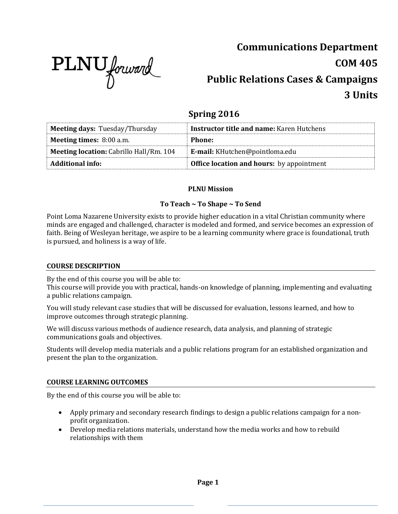

# **Communications Department COM 405 Public Relations Cases & Campaigns 3 Units**

# **Spring 2016**

| <b>Meeting days: Tuesday/Thursday</b>          | <b>Instructor title and name:</b> Karen Hutchens |
|------------------------------------------------|--------------------------------------------------|
| <b>Meeting times:</b> 8:00 a.m.                | Phone:                                           |
| <b>Meeting location:</b> Cabrillo Hall/Rm. 104 | E-mail: KHutchen@pointloma.edu                   |
| <b>Additional info:</b>                        | <b>Office location and hours:</b> by appointment |

# **PLNU Mission**

# **To Teach ~ To Shape ~ To Send**

Point Loma Nazarene University exists to provide higher education in a vital Christian community where minds are engaged and challenged, character is modeled and formed, and service becomes an expression of faith. Being of Wesleyan heritage, we aspire to be a learning community where grace is foundational, truth is pursued, and holiness is a way of life.

#### **COURSE DESCRIPTION**

By the end of this course you will be able to:

This course will provide you with practical, hands-on knowledge of planning, implementing and evaluating a public relations campaign.

You will study relevant case studies that will be discussed for evaluation, lessons learned, and how to improve outcomes through strategic planning.

We will discuss various methods of audience research, data analysis, and planning of strategic communications goals and objectives.

Students will develop media materials and a public relations program for an established organization and present the plan to the organization.

#### **COURSE LEARNING OUTCOMES**

By the end of this course you will be able to:

- Apply primary and secondary research findings to design a public relations campaign for a nonprofit organization.
- Develop media relations materials, understand how the media works and how to rebuild relationships with them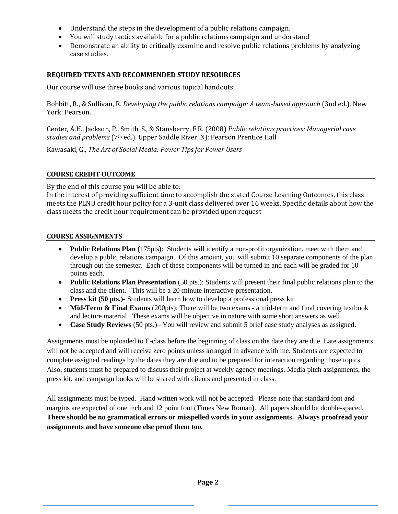- Understand the steps in the development of a public relations campaign.
- You will study tactics available for a public relations campaign and understand
- Demonstrate an ability to critically examine and resolve public relations problems by analyzing case studies.

#### **REQUIRED TEXTS AND RECOMMENDED STUDY RESOURCES**

Our course will use three books and various topical handouts:

Bobbitt, R., & Sullivan, R. *Developing the public relations campaign: A team-based approach* (3nd ed.). New York: Pearson.

Center, A.H., Jackson, P., Smith, S., & Stansberry, F.R. (2008) *Public relations practices: Managerial case studies and problems* (7th ed.). Upper Saddle River, NJ: Pearson Prentice Hall

Kawasaki, G., *The Art of Social Media: Power Tips for Power Users* 

#### **COURSE CREDIT OUTCOME**

By the end of this course you will be able to:

In the interest of providing sufficient time to accomplish the stated Course Learning Outcomes, this class meets the PLNU credit hour policy for a 3-unit class delivered over 16 weeks. Specific details about how the class meets the credit hour requirement can be provided upon request

#### **COURSE ASSIGNMENTS**

- **Public Relations Plan** (175pts): Students will identify a non-profit organization, meet with them and develop a public relations campaign. Of this amount, you will submit 10 separate components of the plan through out the semester. Each of these components will be turned in and each will be graded for 10 points each.
- **Public Relations Plan Presentation** (50 pts.): Students will present their final public relations plan to the class and the client. This will be a 20-minute interactive presentation.
- **Press kit (50 pts.)-** Students will learn how to develop a professional press kit
- Mid-Term & Final Exams (200pts): There will be two exams a mid-term and final covering textbook and lecture material. These exams will be objective in nature with some short answers as well.
- **Case Study Reviews** (50 pts.)– You will review and submit 5 brief case study analyses as assigned**.**

Assignments must be uploaded to E-class before the beginning of class on the date they are due. Late assignments will not be accepted and will receive zero points unless arranged in advance with me. Students are expected to complete assigned readings by the dates they are due and to be prepared for interaction regarding those topics. Also, students must be prepared to discuss their project at weekly agency meetings. Media pitch assignments, the press kit, and campaign books will be shared with clients and presented in class.

All assignments must be typed. Hand written work will not be accepted. Please note that standard font and margins are expected of one inch and 12 point font (Times New Roman). All papers should be double-spaced. **There should be no grammatical errors or misspelled words in your assignments. Always proofread your assignments and have someone else proof them too.**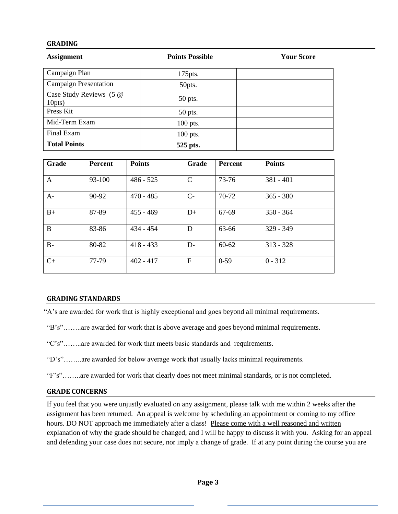#### **GRADING**

| <b>Assignment</b>                 | <b>Points Possible</b> | <b>Your Score</b> |  |
|-----------------------------------|------------------------|-------------------|--|
| Campaign Plan                     | $175$ pts.             |                   |  |
| <b>Campaign Presentation</b>      | 50pts.                 |                   |  |
| Case Study Reviews (5 @<br>10pts) | 50 pts.                |                   |  |
| Press Kit                         | 50 pts.                |                   |  |
| Mid-Term Exam                     | $100$ pts.             |                   |  |
| Final Exam                        | $100$ pts.             |                   |  |
| <b>Total Points</b>               | 525 pts.               |                   |  |

| Grade | <b>Percent</b> | <b>Points</b> | Grade         | Percent   | <b>Points</b> |
|-------|----------------|---------------|---------------|-----------|---------------|
| A     | 93-100         | $486 - 525$   | $\mathcal{C}$ | 73-76     | $381 - 401$   |
| $A-$  | 90-92          | $470 - 485$   | $C-$          | 70-72     | $365 - 380$   |
| $B+$  | 87-89          | $455 - 469$   | $D+$          | 67-69     | $350 - 364$   |
| B     | 83-86          | $434 - 454$   | D             | 63-66     | $329 - 349$   |
| $B-$  | 80-82          | $418 - 433$   | $D-$          | $60 - 62$ | $313 - 328$   |
| $C+$  | 77-79          | $402 - 417$   | $\mathbf F$   | $0 - 59$  | $0 - 312$     |

#### **GRADING STANDARDS**

"A's are awarded for work that is highly exceptional and goes beyond all minimal requirements.

"B's"……..are awarded for work that is above average and goes beyond minimal requirements.

- "C's"……..are awarded for work that meets basic standards and requirements.
- "D's"……..are awarded for below average work that usually lacks minimal requirements.
- "F's"……..are awarded for work that clearly does not meet minimal standards, or is not completed.

#### **GRADE CONCERNS**

If you feel that you were unjustly evaluated on any assignment, please talk with me within 2 weeks after the assignment has been returned. An appeal is welcome by scheduling an appointment or coming to my office hours. DO NOT approach me immediately after a class! Please come with a well reasoned and written explanation of why the grade should be changed, and I will be happy to discuss it with you. Asking for an appeal and defending your case does not secure, nor imply a change of grade. If at any point during the course you are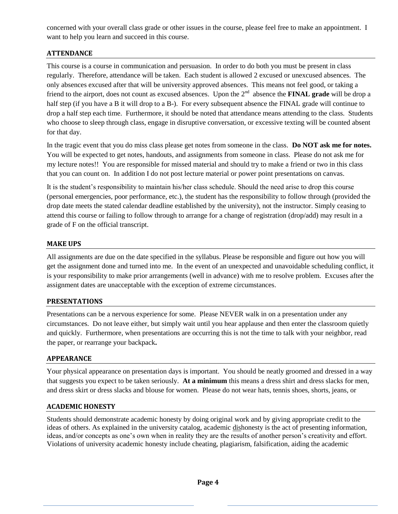concerned with your overall class grade or other issues in the course, please feel free to make an appointment. I want to help you learn and succeed in this course.

## **ATTENDANCE**

This course is a course in communication and persuasion. In order to do both you must be present in class regularly. Therefore, attendance will be taken. Each student is allowed 2 excused or unexcused absences. The only absences excused after that will be university approved absences. This means not feel good, or taking a friend to the airport, does not count as excused absences. Upon the 2<sup>nd</sup> absence the **FINAL grade** will be drop a half step (if you have a B it will drop to a B-). For every subsequent absence the FINAL grade will continue to drop a half step each time. Furthermore, it should be noted that attendance means attending to the class. Students who choose to sleep through class, engage in disruptive conversation, or excessive texting will be counted absent for that day.

In the tragic event that you do miss class please get notes from someone in the class. **Do NOT ask me for notes.** You will be expected to get notes, handouts, and assignments from someone in class. Please do not ask me for my lecture notes!! You are responsible for missed material and should try to make a friend or two in this class that you can count on. In addition I do not post lecture material or power point presentations on canvas.

It is the student's responsibility to maintain his/her class schedule. Should the need arise to drop this course (personal emergencies, poor performance, etc.), the student has the responsibility to follow through (provided the drop date meets the stated calendar deadline established by the university), not the instructor. Simply ceasing to attend this course or failing to follow through to arrange for a change of registration (drop/add) may result in a grade of F on the official transcript.

#### **MAKE UPS**

All assignments are due on the date specified in the syllabus. Please be responsible and figure out how you will get the assignment done and turned into me. In the event of an unexpected and unavoidable scheduling conflict, it is your responsibility to make prior arrangements (well in advance) with me to resolve problem. Excuses after the assignment dates are unacceptable with the exception of extreme circumstances.

#### **PRESENTATIONS**

Presentations can be a nervous experience for some. Please NEVER walk in on a presentation under any circumstances. Do not leave either, but simply wait until you hear applause and then enter the classroom quietly and quickly. Furthermore, when presentations are occurring this is not the time to talk with your neighbor, read the paper, or rearrange your backpack**.** 

#### **APPEARANCE**

Your physical appearance on presentation days is important. You should be neatly groomed and dressed in a way that suggests you expect to be taken seriously. **At a minimum** this means a dress shirt and dress slacks for men, and dress skirt or dress slacks and blouse for women. Please do not wear hats, tennis shoes, shorts, jeans, or

#### **ACADEMIC HONESTY**

Students should demonstrate academic honesty by doing original work and by giving appropriate credit to the ideas of others. As explained in the university catalog, academic dishonesty is the act of presenting information, ideas, and/or concepts as one's own when in reality they are the results of another person's creativity and effort. Violations of university academic honesty include cheating, plagiarism, falsification, aiding the academic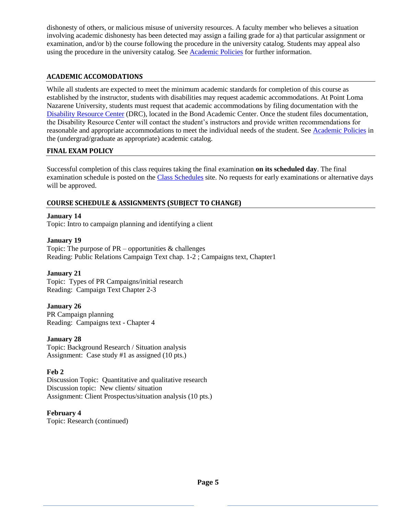dishonesty of others, or malicious misuse of university resources. A faculty member who believes a situation involving academic dishonesty has been detected may assign a failing grade for a) that particular assignment or examination, and/or b) the course following the procedure in the university catalog. Students may appeal also using the procedure in the university catalog. Se[e Academic Policies](http://www.pointloma.edu/experience/academics/catalogs/undergraduate-catalog/point-loma-education/academic-policies) for further information.

## **ACADEMIC ACCOMODATIONS**

While all students are expected to meet the minimum academic standards for completion of this course as established by the instructor, students with disabilities may request academic accommodations. At Point Loma Nazarene University, students must request that academic accommodations by filing documentation with the [Disability Resource Center](http://www.pointloma.edu/experience/offices/administrative-offices/academic-advising-office/disability-resource-center) (DRC), located in the Bond Academic Center. Once the student files documentation, the Disability Resource Center will contact the student's instructors and provide written recommendations for reasonable and appropriate accommodations to meet the individual needs of the student. See [Academic Policies](http://www.pointloma.edu/experience/academics/catalogs/undergraduate-catalog/point-loma-education/academic-policies) in the (undergrad/graduate as appropriate) academic catalog.

#### **FINAL EXAM POLICY**

Successful completion of this class requires taking the final examination **on its scheduled day**. The final examination schedule is posted on the [Class Schedules](http://www.pointloma.edu/experience/academics/class-schedules) site. No requests for early examinations or alternative days will be approved.

#### **COURSE SCHEDULE & ASSIGNMENTS (SUBJECT TO CHANGE)**

#### **January 14**

Topic: Intro to campaign planning and identifying a client

#### **January 19**

Topic: The purpose of  $PR$  – opportunities  $\&$  challenges Reading: Public Relations Campaign Text chap. 1-2 ; Campaigns text, Chapter1

#### **January 21**

Topic: Types of PR Campaigns/initial research Reading: Campaign Text Chapter 2-3

#### **January 26**

PR Campaign planning Reading: Campaigns text - Chapter 4

#### **January 28**

Topic: Background Research / Situation analysis Assignment: Case study #1 as assigned (10 pts.)

#### **Feb 2**

Discussion Topic: Quantitative and qualitative research Discussion topic: New clients/ situation Assignment: Client Prospectus/situation analysis (10 pts.)

#### **February 4**

Topic: Research (continued)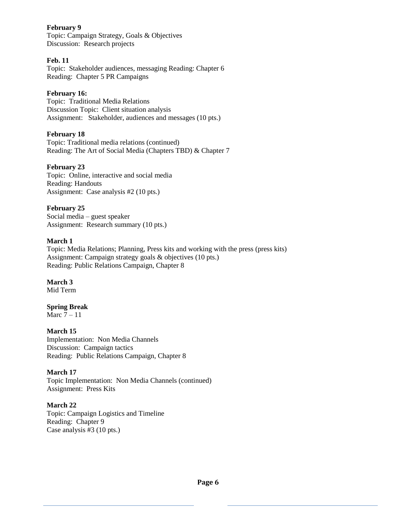#### **February 9**

Topic: Campaign Strategy, Goals & Objectives Discussion:Research projects

#### **Feb. 11**

Topic: Stakeholder audiences, messaging Reading: Chapter 6 Reading: Chapter 5 PR Campaigns

#### **February 16:**

Topic: Traditional Media Relations Discussion Topic: Client situation analysis Assignment: Stakeholder, audiences and messages (10 pts.)

#### **February 18**

Topic: Traditional media relations (continued) Reading: The Art of Social Media (Chapters TBD) & Chapter 7

#### **February 23**

Topic: Online, interactive and social media Reading: Handouts Assignment: Case analysis #2 (10 pts.)

#### **February 25**

Social media – guest speaker Assignment: Research summary (10 pts.)

#### **March 1**

Topic: Media Relations; Planning, Press kits and working with the press (press kits) Assignment: Campaign strategy goals & objectives (10 pts.) Reading: Public Relations Campaign, Chapter 8

#### **March 3**

Mid Term

#### **Spring Break**

Marc  $7 - 11$ 

#### **March 15**

Implementation: Non Media Channels Discussion: Campaign tactics Reading: Public Relations Campaign, Chapter 8

#### **March 17**

Topic Implementation: Non Media Channels (continued) Assignment: Press Kits

#### **March 22**

Topic: Campaign Logistics and Timeline Reading: Chapter 9 Case analysis #3 (10 pts.)